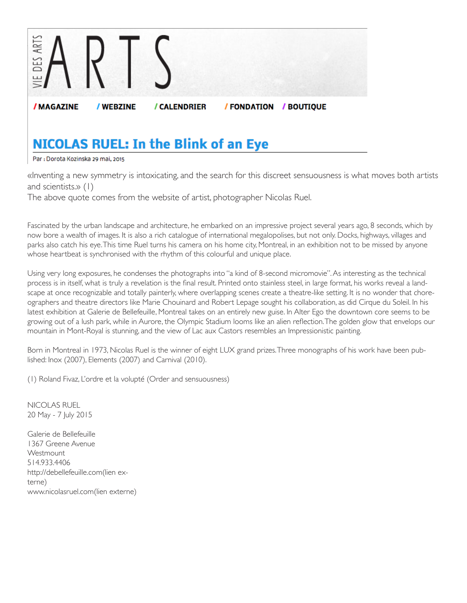

## **NICOLAS RUEL: In the Blink of an Eye**

Par: Dorota Kozinska 29 mai, 2015

«Inventing a new symmetry is intoxicating, and the search for this discreet sensuousness is what moves both artists and scientists.» (1)

The above quote comes from the website of artist, photographer Nicolas Ruel.

Fascinated by the urban landscape and architecture, he embarked on an impressive project several years ago, 8 seconds, which by now bore a wealth of images. It is also a rich catalogue of international megalopolises, but not only. Docks, highways, villages and parks also catch his eye. This time Ruel turns his camera on his home city, Montreal, in an exhibition not to be missed by anyone whose heartbeat is synchronised with the rhythm of this colourful and unique place.

Using very long exposures, he condenses the photographs into "a kind of 8-second micromovie". As interesting as the technical process is in itself, what is truly a revelation is the final result. Printed onto stainless steel, in large format, his works reveal a landscape at once recognizable and totally painterly, where overlapping scenes create a theatre-like setting. It is no wonder that choreographers and theatre directors like Marie Chouinard and Robert Lepage sought his collaboration, as did Cirque du Soleil. In his latest exhibition at Galerie de Bellefeuille, Montreal takes on an entirely new guise. In Alter Ego the downtown core seems to be growing out of a lush park, while in Aurore, the Olympic Stadium looms like an alien reflection. The golden glow that envelops our mountain in Mont-Royal is stunning, and the view of Lac aux Castors resembles an Impressionistic painting.

Born in Montreal in 1973, Nicolas Ruel is the winner of eight LUX grand prizes. Three monographs of his work have been published: Inox (2007), Elements (2007) and Carnival (2010).

(1) Roland Fivaz, L'ordre et la volupté (Order and sensuousness)

NICOLAS RUEL 20 May - 7 July 2015

Galerie de Bellefeuille 1367 Greene Avenue **Westmount** 514.933.4406 http://debellefeuille.com(lien externe) www.nicolasruel.com(lien externe)